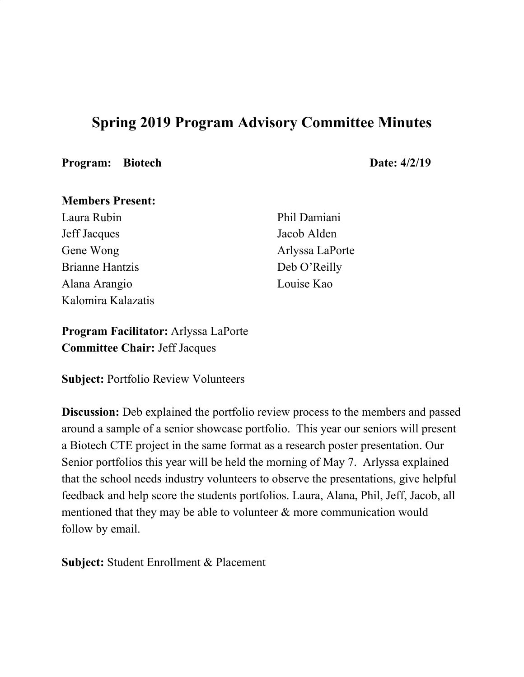# **Spring 2019 Program Advisory Committee Minutes**

#### **Program:** Biotech **Date:**  $4/2/19$

#### **Members Present:**

Laura Rubin Jeff Jacques Gene Wong Brianne Hantzis Alana Arangio Kalomira Kalazatis Phil Damiani Jacob Alden Arlyssa LaPorte Deb O'Reilly Louise Kao

**Program Facilitator:** Arlyssa LaPorte **Committee Chair:** Jeff Jacques

**Subject:** Portfolio Review Volunteers

**Discussion:** Deb explained the portfolio review process to the members and passed around a sample of a senior showcase portfolio. This year our seniors will present a Biotech CTE project in the same format as a research poster presentation. Our Senior portfolios this year will be held the morning of May 7. Arlyssa explained that the school needs industry volunteers to observe the presentations, give helpful feedback and help score the students portfolios. Laura, Alana, Phil, Jeff, Jacob, all mentioned that they may be able to volunteer & more communication would follow by email.

**Subject:** Student Enrollment & Placement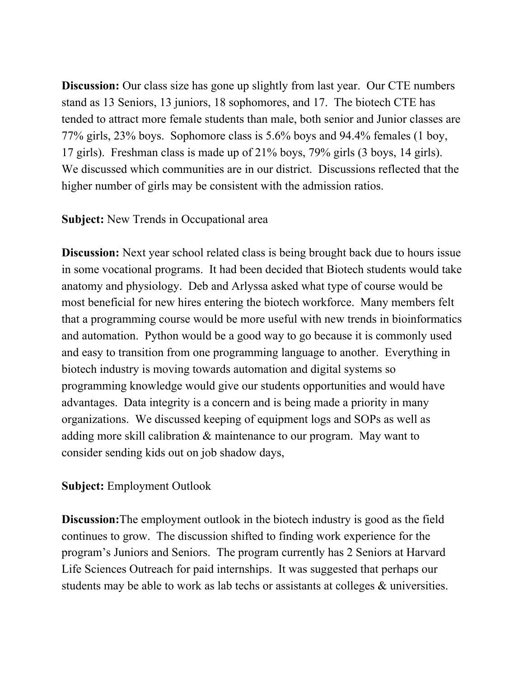**Discussion:** Our class size has gone up slightly from last year. Our CTE numbers stand as 13 Seniors, 13 juniors, 18 sophomores, and 17. The biotech CTE has tended to attract more female students than male, both senior and Junior classes are 77% girls, 23% boys. Sophomore class is 5.6% boys and 94.4% females (1 boy, 17 girls). Freshman class is made up of 21% boys, 79% girls (3 boys, 14 girls). We discussed which communities are in our district. Discussions reflected that the higher number of girls may be consistent with the admission ratios.

## **Subject:** New Trends in Occupational area

**Discussion:** Next year school related class is being brought back due to hours issue in some vocational programs. It had been decided that Biotech students would take anatomy and physiology. Deb and Arlyssa asked what type of course would be most beneficial for new hires entering the biotech workforce. Many members felt that a programming course would be more useful with new trends in bioinformatics and automation. Python would be a good way to go because it is commonly used and easy to transition from one programming language to another. Everything in biotech industry is moving towards automation and digital systems so programming knowledge would give our students opportunities and would have advantages. Data integrity is a concern and is being made a priority in many organizations. We discussed keeping of equipment logs and SOPs as well as adding more skill calibration & maintenance to our program. May want to consider sending kids out on job shadow days,

# **Subject:** Employment Outlook

**Discussion:**The employment outlook in the biotech industry is good as the field continues to grow. The discussion shifted to finding work experience for the program's Juniors and Seniors. The program currently has 2 Seniors at Harvard Life Sciences Outreach for paid internships. It was suggested that perhaps our students may be able to work as lab techs or assistants at colleges & universities.